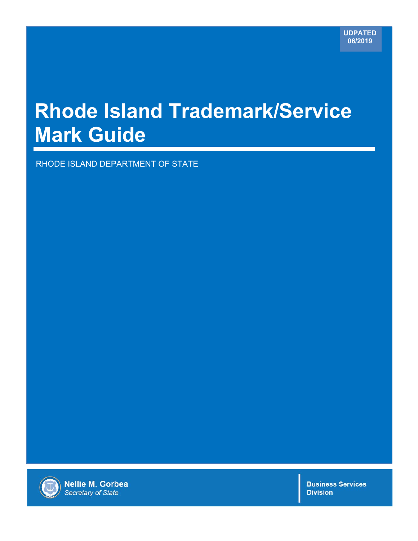## **Rhode Island Trademark/Service Mark Guide**

RHODE ISLAND DEPARTMENT OF STATE



**Nellie M. Gorbea** Secretary of State

**Business Services Division**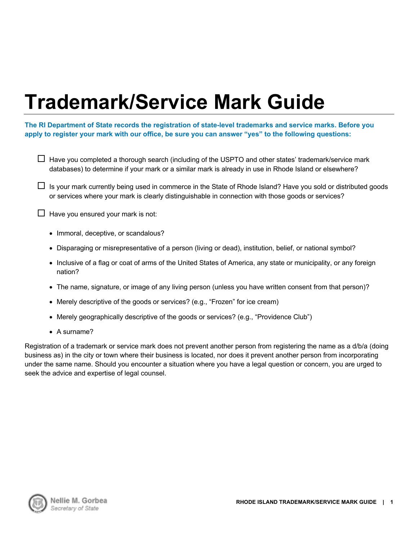# **Trademark/Service Mark Guide**

#### **The RI Department of State records the registration of state-level trademarks and service marks. Before you apply to register your mark with our office, be sure you can answer "yes" to the following questions:**

- $\Box$  Have you completed a thorough search (including of the USPTO and other states' trademark/service mark databases) to determine if your mark or a similar mark is already in use in Rhode Island or elsewhere?
- $\Box$  Is your mark currently being used in commerce in the State of Rhode Island? Have you sold or distributed goods or services where your mark is clearly distinguishable in connection with those goods or services?

 $\Box$  Have you ensured your mark is not:

- Immoral, deceptive, or scandalous?
- Disparaging or misrepresentative of a person (living or dead), institution, belief, or national symbol?
- Inclusive of a flag or coat of arms of the United States of America, any state or municipality, or any foreign nation?
- The name, signature, or image of any living person (unless you have written consent from that person)?
- Merely descriptive of the goods or services? (e.g., "Frozen" for ice cream)
- Merely geographically descriptive of the goods or services? (e.g., "Providence Club")
- A surname?

Registration of a trademark or service mark does not prevent another person from registering the name as a d/b/a (doing business as) in the city or town where their business is located, nor does it prevent another person from incorporating under the same name. Should you encounter a situation where you have a legal question or concern, you are urged to seek the advice and expertise of legal counsel.

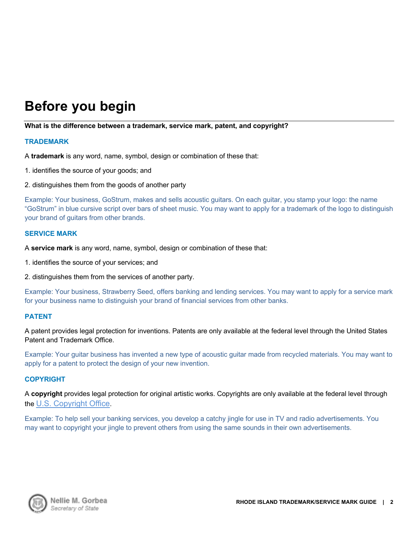### **Before you begin**

#### **What is the difference between a trademark, service mark, patent, and copyright?**

#### **TRADEMARK**

A **trademark** is any word, name, symbol, design or combination of these that:

- 1. identifies the source of your goods; and
- 2. distinguishes them from the goods of another party

Example: Your business, GoStrum, makes and sells acoustic guitars. On each guitar, you stamp your logo: the name "GoStrum" in blue cursive script over bars of sheet music. You may want to apply for a trademark of the logo to distinguish your brand of guitars from other brands.

#### **SERVICE MARK**

A **service mark** is any word, name, symbol, design or combination of these that:

- 1. identifies the source of your services; and
- 2. distinguishes them from the services of another party.

Example: Your business, Strawberry Seed, offers banking and lending services. You may want to apply for a service mark for your business name to distinguish your brand of financial services from other banks.

#### **PATENT**

A patent provides legal protection for inventions. Patents are only available at the federal level through the United States Patent and Trademark Office.

Example: Your guitar business has invented a new type of acoustic guitar made from recycled materials. You may want to apply for a patent to protect the design of your new invention.

#### **COPYRIGHT**

A **copyright** provides legal protection for original artistic works. Copyrights are only available at the federal level through the U.S. Copyright Office.

Example: To help sell your banking services, you develop a catchy jingle for use in TV and radio advertisements. You may want to copyright your jingle to prevent others from using the same sounds in their own advertisements.

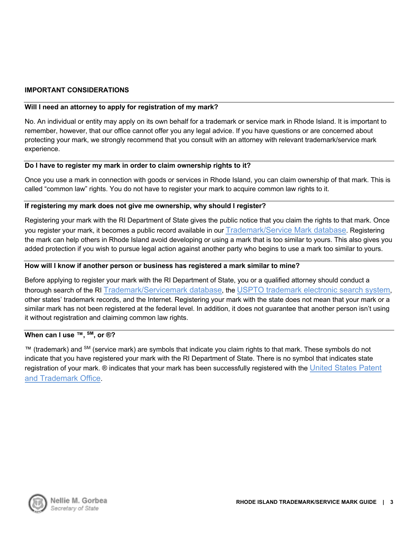#### **IMPORTANT CONSIDERATIONS**

#### **Will I need an attorney to apply for registration of my mark?**

No. An individual or entity may apply on its own behalf for a trademark or service mark in Rhode Island. It is important to remember, however, that our office cannot offer you any legal advice. If you have questions or are concerned about protecting your mark, we strongly recommend that you consult with an attorney with relevant trademark/service mark experience.

#### **Do I have to register my mark in order to claim ownership rights to it?**

Once you use a mark in connection with goods or services in Rhode Island, you can claim ownership of that mark. This is called "common law" rights. You do not have to register your mark to acquire common law rights to it.

#### **If registering my mark does not give me ownership, why should I register?**

Registering your mark with the RI Department of State gives the public notice that you claim the rights to that mark. Once you register your mark, it becomes a public record available in our Trademark/Service Mark database. Registering the mark can help others in Rhode Island avoid developing or using a mark that is too similar to yours. This also gives you added protection if you wish to pursue legal action against another party who begins to use a mark too similar to yours.

#### **How will I know if another person or business has registered a mark similar to mine?**

Before applying to register your mark with the RI Department of State, you or a qualified attorney should conduct a thorough search of the RI Trademark/Servicemark database, the USPTO trademark electronic search system, other states' trademark records, and the Internet. Registering your mark with the state does not mean that your mark or a similar mark has not been registered at the federal level. In addition, it does not guarantee that another person isn't using it without registration and claiming common law rights.

#### **When can I use ™, SM, or ®?**

™ (trademark) and <sup>SM</sup> (service mark) are symbols that indicate you claim rights to that mark. These symbols do not indicate that you have registered your mark with the RI Department of State. There is no symbol that indicates state registration of your mark. ® indicates that your mark has been successfully registered with the <u>United States Patent</u> and Trademark Office.

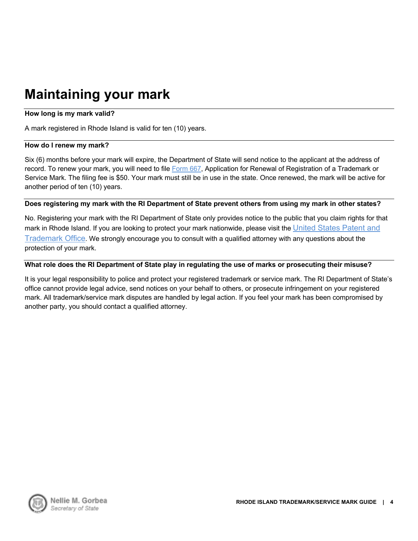### **Maintaining your mark**

#### **How long is my mark valid?**

A mark registered in Rhode Island is valid for ten (10) years.

#### **How do I renew my mark?**

Six (6) months before your mark will expire, the Department of State will send notice to the applicant at the address of record. To renew your mark, you will need to file Form 667, Application for Renewal of Registration of a Trademark or Service Mark. The filing fee is \$50. Your mark must still be in use in the state. Once renewed, the mark will be active for another period of ten (10) years.

#### **Does registering my mark with the RI Department of State prevent others from using my mark in other states?**

No. Registering your mark with the RI Department of State only provides notice to the public that you claim rights for that mark in Rhode Island. If you are looking to protect your mark nationwide, please visit the United States Patent and Trademark Office. We strongly encourage you to consult with a qualified attorney with any questions about the protection of your mark.

#### **What role does the RI Department of State play in regulating the use of marks or prosecuting their misuse?**

It is your legal responsibility to police and protect your registered trademark or service mark. The RI Department of State's office cannot provide legal advice, send notices on your behalf to others, or prosecute infringement on your registered mark. All trademark/service mark disputes are handled by legal action. If you feel your mark has been compromised by another party, you should contact a qualified attorney.